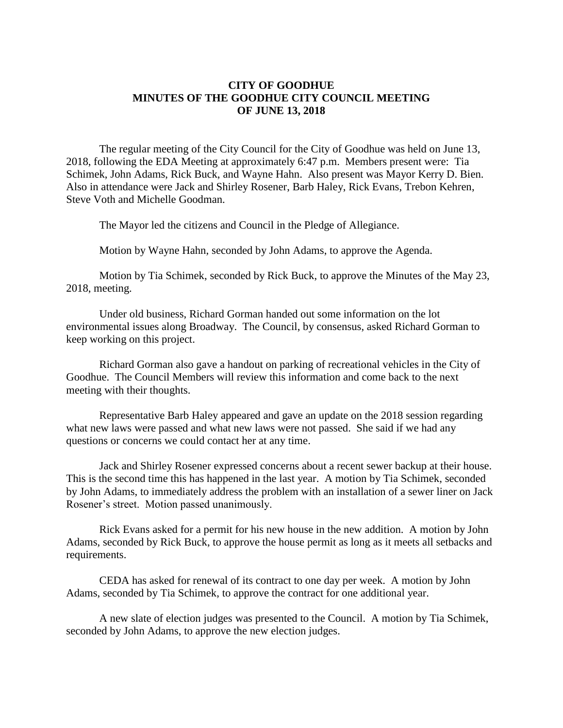## **CITY OF GOODHUE MINUTES OF THE GOODHUE CITY COUNCIL MEETING OF JUNE 13, 2018**

The regular meeting of the City Council for the City of Goodhue was held on June 13, 2018, following the EDA Meeting at approximately 6:47 p.m. Members present were: Tia Schimek, John Adams, Rick Buck, and Wayne Hahn. Also present was Mayor Kerry D. Bien. Also in attendance were Jack and Shirley Rosener, Barb Haley, Rick Evans, Trebon Kehren, Steve Voth and Michelle Goodman.

The Mayor led the citizens and Council in the Pledge of Allegiance.

Motion by Wayne Hahn, seconded by John Adams, to approve the Agenda.

Motion by Tia Schimek, seconded by Rick Buck, to approve the Minutes of the May 23, 2018, meeting.

Under old business, Richard Gorman handed out some information on the lot environmental issues along Broadway. The Council, by consensus, asked Richard Gorman to keep working on this project.

Richard Gorman also gave a handout on parking of recreational vehicles in the City of Goodhue. The Council Members will review this information and come back to the next meeting with their thoughts.

Representative Barb Haley appeared and gave an update on the 2018 session regarding what new laws were passed and what new laws were not passed. She said if we had any questions or concerns we could contact her at any time.

Jack and Shirley Rosener expressed concerns about a recent sewer backup at their house. This is the second time this has happened in the last year. A motion by Tia Schimek, seconded by John Adams, to immediately address the problem with an installation of a sewer liner on Jack Rosener's street. Motion passed unanimously.

Rick Evans asked for a permit for his new house in the new addition. A motion by John Adams, seconded by Rick Buck, to approve the house permit as long as it meets all setbacks and requirements.

CEDA has asked for renewal of its contract to one day per week. A motion by John Adams, seconded by Tia Schimek, to approve the contract for one additional year.

A new slate of election judges was presented to the Council. A motion by Tia Schimek, seconded by John Adams, to approve the new election judges.